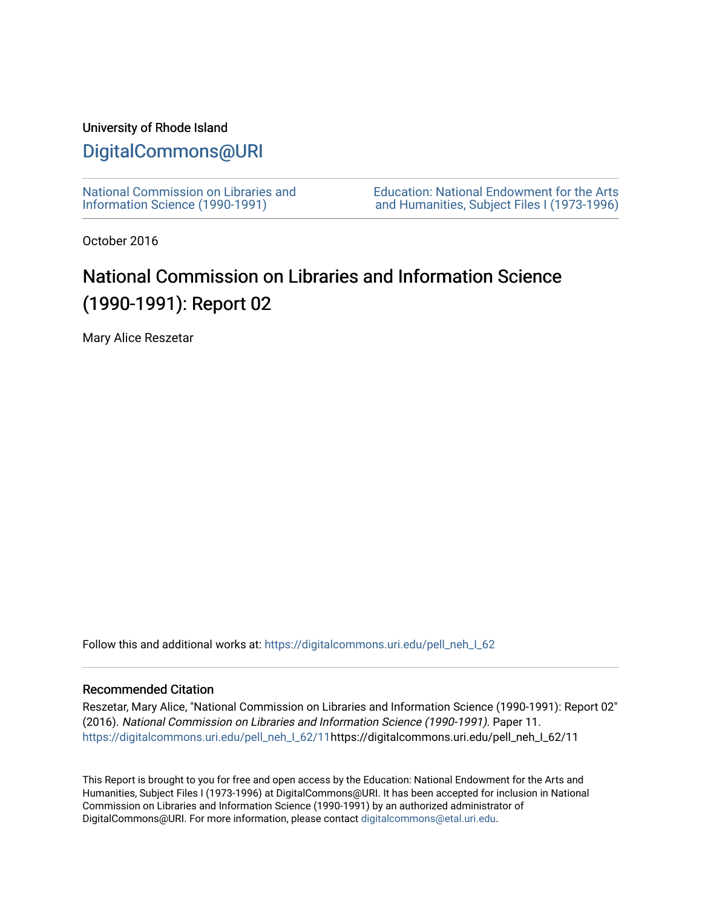### University of Rhode Island

## [DigitalCommons@URI](https://digitalcommons.uri.edu/)

[National Commission on Libraries and](https://digitalcommons.uri.edu/pell_neh_I_62) [Information Science \(1990-1991\)](https://digitalcommons.uri.edu/pell_neh_I_62) 

[Education: National Endowment for the Arts](https://digitalcommons.uri.edu/pell_neh_I)  [and Humanities, Subject Files I \(1973-1996\)](https://digitalcommons.uri.edu/pell_neh_I) 

October 2016

# National Commission on Libraries and Information Science (1990-1991): Report 02

Mary Alice Reszetar

Follow this and additional works at: https://digitalcommons.uri.edu/pell\_neh\_I\_62

#### Recommended Citation

Reszetar, Mary Alice, "National Commission on Libraries and Information Science (1990-1991): Report 02" (2016). National Commission on Libraries and Information Science (1990-1991). Paper 11. [https://digitalcommons.uri.edu/pell\\_neh\\_I\\_62/11h](https://digitalcommons.uri.edu/pell_neh_I_62/11?utm_source=digitalcommons.uri.edu%2Fpell_neh_I_62%2F11&utm_medium=PDF&utm_campaign=PDFCoverPages)ttps://digitalcommons.uri.edu/pell\_neh\_I\_62/11

This Report is brought to you for free and open access by the Education: National Endowment for the Arts and Humanities, Subject Files I (1973-1996) at DigitalCommons@URI. It has been accepted for inclusion in National Commission on Libraries and Information Science (1990-1991) by an authorized administrator of DigitalCommons@URI. For more information, please contact [digitalcommons@etal.uri.edu.](mailto:digitalcommons@etal.uri.edu)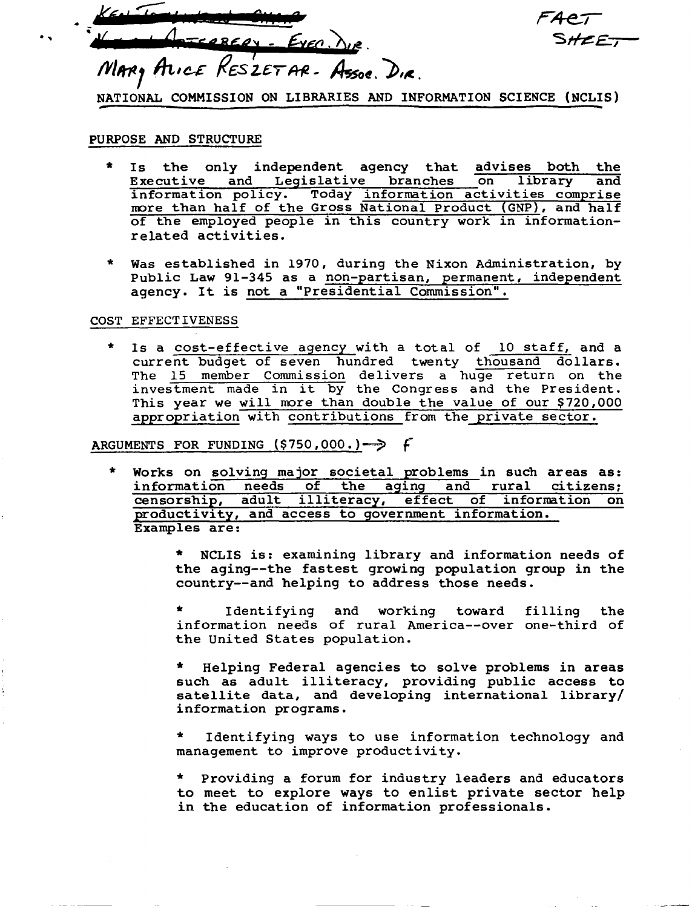1. Key Tombulant City, 6 • i( : ' ( *a,-,,* '''9 - 6m *.p,ee* • MARY ALICE RESZET AR- Assoc. DIR.

NATIONAL COMMISSION ON LIBRARIES AND INFORMATION SCIENCE (NCLIS)

#### PURPOSE AND STRUCTURE

- \* Is the only independent agency that advises both the Executive and Legislative branches on library and information policy. Today information activities comprise more than half of the Gross National Product (GNP), and half of the employed people in this country work in informationr elated activities.
- \* Was established in 1970, during the Nixon Administration, by Public Law 91-345 as a non-partisan, permanent, independent agency. It is not a "Presidential Commission".

#### COST EFFECTIVENESS

\* Is a cost-effective agency with a total of 10 staff, and a current budget of seven hundred twenty thousand dollars. The 15 member Commission delivers a huge return on the investment made in it by the Congress and the President. This year we will more than double the value of our \$720,000 appropriation with contributions from the private sector.

#### ARGUMENTS FOR FUNDING  $(5750,000.) \rightarrow$

- \* Works on solving major societal problems in such areas as: of the aging and censorship, adult illiteracy, effect of information on productivity, and access to government information. Examples are:
	- \* NCLIS is: examining library and information needs of the aging--the fastest growing population group in the country--and helping to address those needs.

Identifying and working toward filling the information needs of rural America--over one-third of the United States population.

Helping Federal agencies to solve problems in areas such as adult illiteracy, providing public access to satellite data, and developing international library/ information programs.

Identifying ways to use information technology and management to improve productivity.

\* Providing a forum for industry leaders and educators to meet to explore ways to enlist private sector help in the education of information professionals.